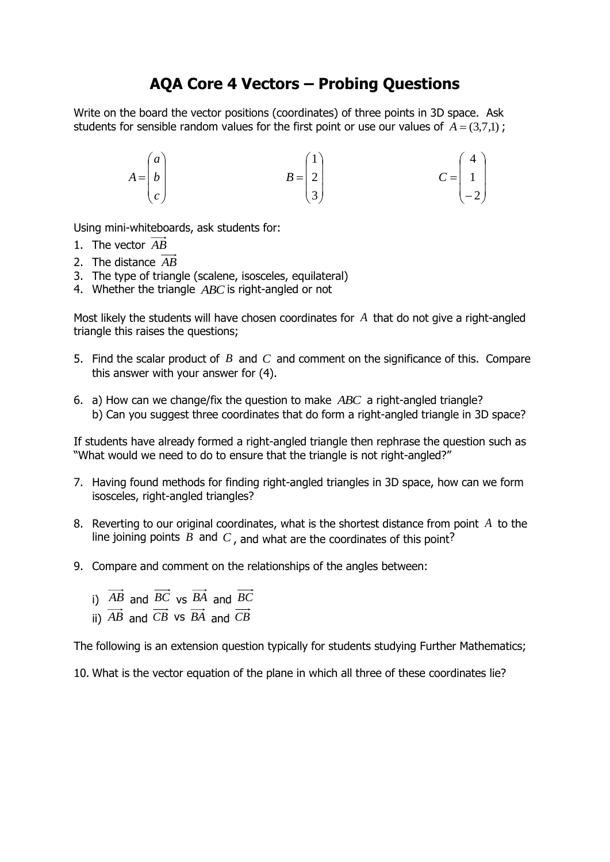## **AQA Core 4 Vectors – Probing Questions**

Write on the board the vector positions (coordinates) of three points in 3D space. Ask students for sensible random values for the first point or use our values of  $A = (3,7,1)$ ;

$$
A = \begin{pmatrix} a \\ b \\ c \end{pmatrix} \qquad \qquad B = \begin{pmatrix} 1 \\ 2 \\ 3 \end{pmatrix} \qquad \qquad C = \begin{pmatrix} 4 \\ 1 \\ -2 \end{pmatrix}
$$

Using mini-whiteboards, ask students for:

- 1. The vector *AB*
- 2. The distance *AB*
- 3. The type of triangle (scalene, isosceles, equilateral)
- 4. Whether the triangle *ABC* is right-angled or not

Most likely the students will have chosen coordinates for *A* that do not give a right-angled triangle this raises the questions;

- 5. Find the scalar product of  $B$  and  $C$  and comment on the significance of this. Compare this answer with your answer for (4).
- 6. a) How can we change/fix the question to make *ABC* a right-angled triangle? b) Can you suggest three coordinates that do form a right-angled triangle in 3D space?

If students have already formed a right-angled triangle then rephrase the question such as "What would we need to do to ensure that the triangle is not right-angled?"

- 7. Having found methods for finding right-angled triangles in 3D space, how can we form isosceles, right-angled triangles?
- 8. Reverting to our original coordinates, what is the shortest distance from point *A* to the line joining points  $B$  and  $C$ , and what are the coordinates of this point?
- 9. Compare and comment on the relationships of the angles between:
	- i)  $AB$  and  $BC$  vs  $BA$  and  $BC$
	- ii) *AB* and *CB* vs *BA* and *CB*

The following is an extension question typically for students studying Further Mathematics;

10. What is the vector equation of the plane in which all three of these coordinates lie?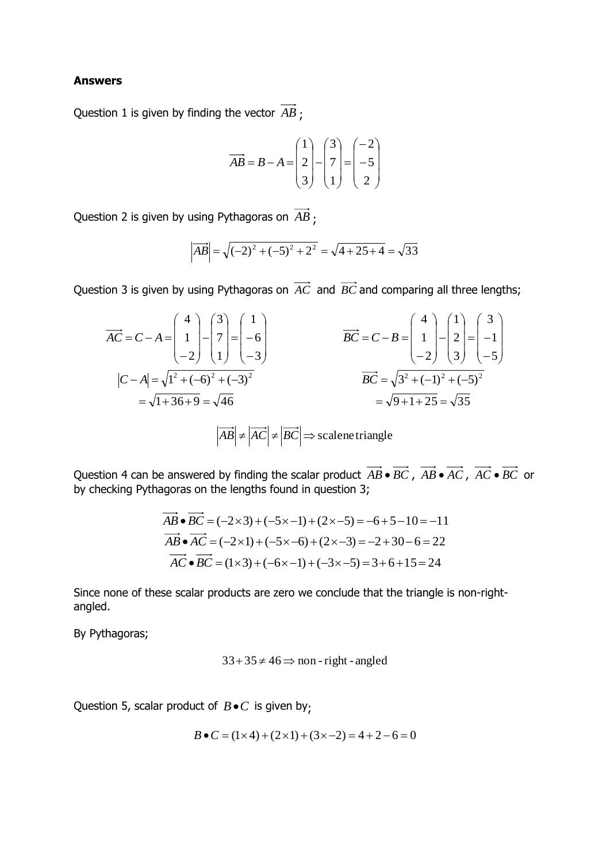## **Answers**

Question 1 is given by finding the vector *AB* ;

$$
\overrightarrow{AB} = B - A = \begin{pmatrix} 1 \\ 2 \\ 3 \end{pmatrix} - \begin{pmatrix} 3 \\ 7 \\ 1 \end{pmatrix} = \begin{pmatrix} -2 \\ -5 \\ 2 \end{pmatrix}
$$

Question 2 is given by using Pythagoras on *AB* ;

$$
\left| \overrightarrow{AB} \right| = \sqrt{(-2)^2 + (-5)^2 + 2^2} = \sqrt{4 + 25 + 4} = \sqrt{33}
$$

Question 3 is given by using Pythagoras on *AC* and *BC* and comparing all three lengths;

$$
\overrightarrow{AC} = C - A = \begin{pmatrix} 4 \\ 1 \\ -2 \end{pmatrix} - \begin{pmatrix} 3 \\ 7 \\ 1 \end{pmatrix} = \begin{pmatrix} 1 \\ -6 \\ -3 \end{pmatrix}
$$

$$
\overrightarrow{BC} = C - B = \begin{pmatrix} 4 \\ 1 \\ -2 \end{pmatrix} - \begin{pmatrix} 1 \\ 2 \\ 3 \end{pmatrix} = \begin{pmatrix} 3 \\ -1 \\ -5 \end{pmatrix}
$$

$$
|C - A| = \sqrt{1^2 + (-6)^2 + (-3)^2}
$$

$$
= \sqrt{1 + 36 + 9} = \sqrt{46}
$$

$$
|\overrightarrow{AB}| \neq |\overrightarrow{AC}| \neq |\overrightarrow{BC}| \Rightarrow \text{scalene triangle}
$$

Question 4 can be answered by finding the scalar product  $AB \cdot BC$ ,  $AB \cdot AC$ ,  $AC \cdot BC$  or by checking Pythagoras on the lengths found in question 3;

$$
AB \bullet BC = (-2 \times 3) + (-5 \times -1) + (2 \times -5) = -6 + 5 - 10 = -11
$$
  
\n
$$
\overrightarrow{AB} \bullet \overrightarrow{AC} = (-2 \times 1) + (-5 \times -6) + (2 \times -3) = -2 + 30 - 6 = 22
$$
  
\n
$$
\overrightarrow{AC} \bullet \overrightarrow{BC} = (1 \times 3) + (-6 \times -1) + (-3 \times -5) = 3 + 6 + 15 = 24
$$

Since none of these scalar products are zero we conclude that the triangle is non-rightangled.

By Pythagoras;

$$
33+35 \neq 46 \Rightarrow
$$
 non-right-angled

Question 5, scalar product of  $B \bullet C$  is given by;

$$
B \bullet C = (1 \times 4) + (2 \times 1) + (3 \times -2) = 4 + 2 - 6 = 0
$$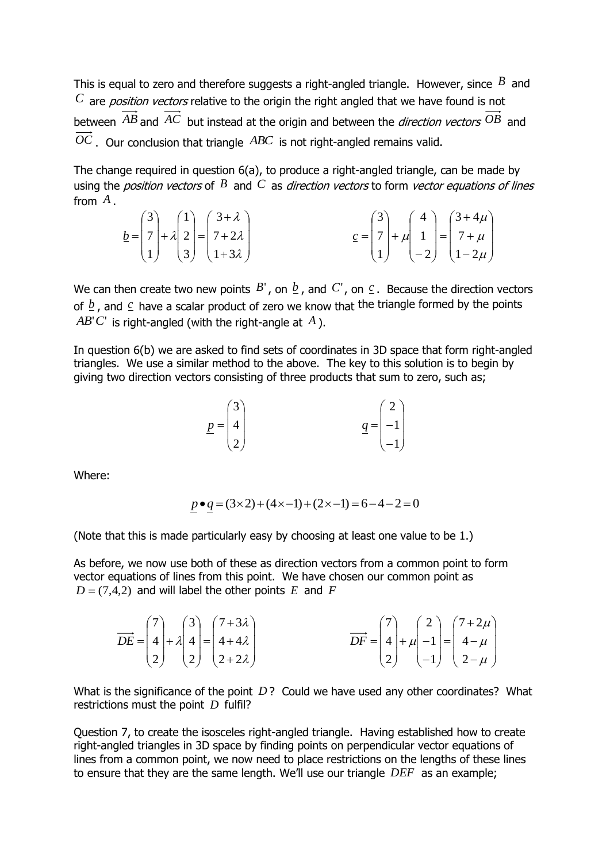This is equal to zero and therefore suggests a right-angled triangle. However, since  $^B$  and  $C$  are *position vectors* relative to the origin the right angled that we have found is not between  $AB$  and  $AC$  but instead at the origin and between the *direction vectors*  $OB$  and  $OC$ . Our conclusion that triangle  $ABC$  is not right-angled remains valid.

The change required in question 6(a), to produce a right-angled triangle, can be made by using the *position vectors* of  $^B$  and  $^C$  as *direction vectors* to form *vector equations of lines* from *A* .

|  |  | $\underline{b} = \begin{pmatrix} 3 \\ 7 \\ 1 \end{pmatrix} + \lambda \begin{pmatrix} 1 \\ 2 \\ 3 \end{pmatrix} = \begin{pmatrix} 3+\lambda \\ 7+2\lambda \\ 1+3\lambda \end{pmatrix}$ |  |  | $\underline{c} = \begin{pmatrix} 3 \\ 7 \\ 1 \end{pmatrix} + \mu \begin{pmatrix} 4 \\ 1 \\ -2 \end{pmatrix} = \begin{pmatrix} 3+4\mu \\ 7+\mu \\ 1-2\mu \end{pmatrix}$ |
|--|--|---------------------------------------------------------------------------------------------------------------------------------------------------------------------------------------|--|--|------------------------------------------------------------------------------------------------------------------------------------------------------------------------|

We can then create two new points  $B'$ , on  $\underline{b}$ , and  $C'$ , on  $\underline{c}$ . Because the direction vectors of  $\frac{b}{c}$ , and  $\frac{c}{c}$  have a scalar product of zero we know that the triangle formed by the points  $AB'C'$  is right-angled (with the right-angle at  $A$ ).

In question 6(b) we are asked to find sets of coordinates in 3D space that form right-angled triangles. We use a similar method to the above. The key to this solution is to begin by giving two direction vectors consisting of three products that sum to zero, such as;

$$
\underline{p} = \begin{pmatrix} 3 \\ 4 \\ 2 \end{pmatrix} \qquad \qquad \underline{q} = \begin{pmatrix} 2 \\ -1 \\ -1 \end{pmatrix}
$$

Where:

$$
p \bullet q = (3 \times 2) + (4 \times -1) + (2 \times -1) = 6 - 4 - 2 = 0
$$

(Note that this is made particularly easy by choosing at least one value to be 1.)

As before, we now use both of these as direction vectors from a common point to form vector equations of lines from this point. We have chosen our common point as  $D = (7, 4, 2)$  and will label the other points  $E$  and  $F$ 

|  | $\overrightarrow{DE} = \begin{pmatrix} 7 \\ 4 \\ 2 \end{pmatrix} + \lambda \begin{pmatrix} 3 \\ 4 \\ 2 \end{pmatrix} = \begin{pmatrix} 7+3\lambda \\ 4+4\lambda \\ 2+2\lambda \end{pmatrix}$ | $\overrightarrow{DF} = \begin{pmatrix} 7 \\ 4 \\ 2 \end{pmatrix} + \mu \begin{pmatrix} 2 \\ -1 \\ -1 \end{pmatrix} = \begin{pmatrix} 7+2\mu \\ 4-\mu \\ 2-\mu \end{pmatrix}$ |  |
|--|----------------------------------------------------------------------------------------------------------------------------------------------------------------------------------------------|------------------------------------------------------------------------------------------------------------------------------------------------------------------------------|--|

What is the significance of the point  $D$ ? Could we have used any other coordinates? What restrictions must the point *D* fulfil?

Question 7, to create the isosceles right-angled triangle. Having established how to create right-angled triangles in 3D space by finding points on perpendicular vector equations of lines from a common point, we now need to place restrictions on the lengths of these lines to ensure that they are the same length. We'll use our triangle *DEF* as an example;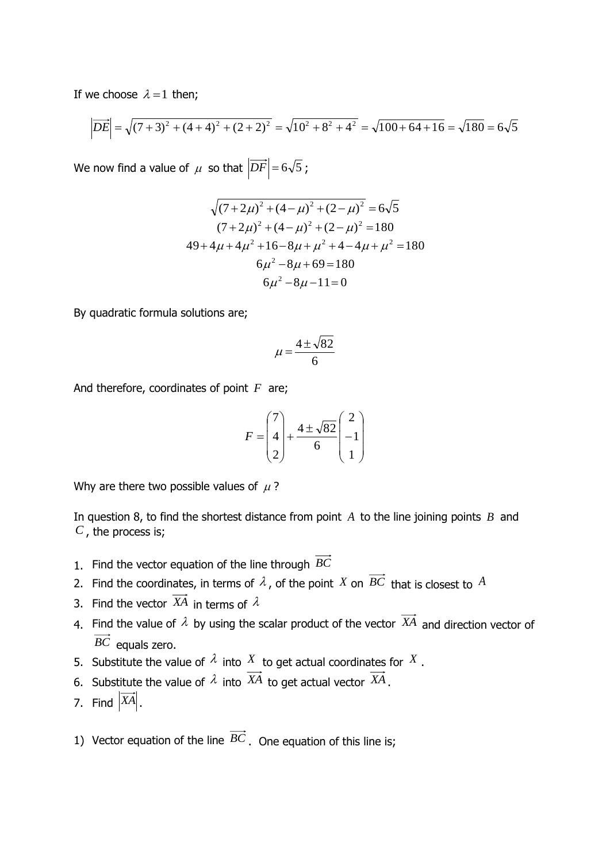If we choose  $\lambda = 1$  then;

we choose 
$$
\lambda = 1
$$
 then;  
\n
$$
\left| \overrightarrow{DE} \right| = \sqrt{(7+3)^2 + (4+4)^2 + (2+2)^2} = \sqrt{10^2 + 8^2 + 4^2} = \sqrt{100 + 64 + 16} = \sqrt{180} = 6\sqrt{5}
$$

We now find a value of  $\mu$  so that  $|DF|$  = 6 $\sqrt{5}$  ;

$$
\sqrt{(7+2\mu)^2 + (4-\mu)^2 + (2-\mu)^2} = 6\sqrt{5}
$$
  
(7+2\mu)^2 + (4-\mu)^2 + (2-\mu)^2 = 180  
49+4\mu+4\mu^2+16-8\mu+\mu^2+4-4\mu+\mu^2 = 180  
6\mu^2-8\mu+69 = 180  
6\mu^2-8\mu-11=0

By quadratic formula solutions are;

$$
\mu = \frac{4 \pm \sqrt{82}}{6}
$$

And therefore, coordinates of point F are;

$$
F = \begin{pmatrix} 7 \\ 4 \\ 2 \end{pmatrix} + \frac{4 \pm \sqrt{82}}{6} \begin{pmatrix} 2 \\ -1 \\ 1 \end{pmatrix}
$$

Why are there two possible values of  $\mu$ ?

In question 8, to find the shortest distance from point *A* to the line joining points *B* and *C* , the process is;

- 1. Find the vector equation of the line through *BC*
- 2. Find the coordinates, in terms of  $\lambda$ , of the point  $X$  on  $BC$  that is closest to  $A$
- 3. Find the vector  $X\!A$  in terms of  $\lambda$
- 4. Find the value of  $\lambda$  by using the scalar product of the vector  $X\!A$  and direction vector of *BC* equals zero.
- 5. Substitute the value of  $\lambda$  into  $X$  to get actual coordinates for  $X$ .
- 6. Substitute the value of  $\lambda$  into  $XA$  to get actual vector  $XA$ .
- 7. Find  $|XA|$ .
- 1) Vector equation of the line  $BC$ . One equation of this line is;